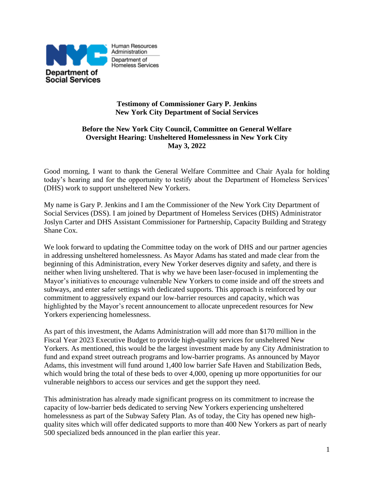

# **Testimony of Commissioner Gary P. Jenkins New York City Department of Social Services**

Homeless Services

## **Before the New York City Council, Committee on General Welfare Oversight Hearing: Unsheltered Homelessness in New York City May 3, 2022**

Good morning, I want to thank the General Welfare Committee and Chair Ayala for holding today's hearing and for the opportunity to testify about the Department of Homeless Services' (DHS) work to support unsheltered New Yorkers.

My name is Gary P. Jenkins and I am the Commissioner of the New York City Department of Social Services (DSS). I am joined by Department of Homeless Services (DHS) Administrator Joslyn Carter and DHS Assistant Commissioner for Partnership, Capacity Building and Strategy Shane Cox.

We look forward to updating the Committee today on the work of DHS and our partner agencies in addressing unsheltered homelessness. As Mayor Adams has stated and made clear from the beginning of this Administration, every New Yorker deserves dignity and safety, and there is neither when living unsheltered. That is why we have been laser-focused in implementing the Mayor's initiatives to encourage vulnerable New Yorkers to come inside and off the streets and subways, and enter safer settings with dedicated supports. This approach is reinforced by our commitment to aggressively expand our low-barrier resources and capacity, which was highlighted by the Mayor's recent announcement to allocate unprecedent resources for New Yorkers experiencing homelessness.

As part of this investment, the Adams Administration will add more than \$170 million in the Fiscal Year 2023 Executive Budget to provide high-quality services for unsheltered New Yorkers. As mentioned, this would be the largest investment made by any City Administration to fund and expand street outreach programs and low-barrier programs. As announced by Mayor Adams, this investment will fund around 1,400 low barrier Safe Haven and Stabilization Beds, which would bring the total of these beds to over 4,000, opening up more opportunities for our vulnerable neighbors to access our services and get the support they need.

This administration has already made significant progress on its commitment to increase the capacity of low-barrier beds dedicated to serving New Yorkers experiencing unsheltered homelessness as part of the Subway Safety Plan. As of today, the City has opened new highquality sites which will offer dedicated supports to more than 400 New Yorkers as part of nearly 500 specialized beds announced in the plan earlier this year.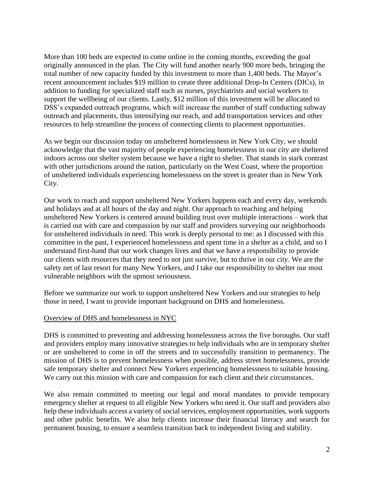More than 100 beds are expected to come online in the coming months, exceeding the goal originally announced in the plan. The City will fund another nearly 900 more beds, bringing the total number of new capacity funded by this investment to more than 1,400 beds. The Mayor's recent announcement includes \$19 million to create three additional Drop-In Centers (DICs), in addition to funding for specialized staff such as nurses, psychiatrists and social workers to support the wellbeing of our clients. Lastly, \$12 million of this investment will be allocated to DSS's expanded outreach programs, which will increase the number of staff conducting subway outreach and placements, thus intensifying our reach, and add transportation services and other resources to help streamline the process of connecting clients to placement opportunities.

As we begin our discussion today on unsheltered homelessness in New York City, we should acknowledge that the vast majority of people experiencing homelessness in our city are sheltered indoors across our shelter system because we have a right to shelter. That stands in stark contrast with other jurisdictions around the nation, particularly on the West Coast, where the proportion of unsheltered individuals experiencing homelessness on the street is greater than in New York City.

Our work to reach and support unsheltered New Yorkers happens each and every day, weekends and holidays and at all hours of the day and night. Our approach to reaching and helping unsheltered New Yorkers is centered around building trust over multiple interactions – work that is carried out with care and compassion by our staff and providers surveying our neighborhoods for unsheltered individuals in need. This work is deeply personal to me: as I discussed with this committee in the past, I experienced homelessness and spent time in a shelter as a child, and so I understand first-hand that our work changes lives and that we have a responsibility to provide our clients with resources that they need to not just survive, but to thrive in our city. We are the safety net of last resort for many New Yorkers, and I take our responsibility to shelter our most vulnerable neighbors with the upmost seriousness.

Before we summarize our work to support unsheltered New Yorkers and our strategies to help those in need, I want to provide important background on DHS and homelessness.

#### Overview of DHS and homelessness in NYC

DHS is committed to preventing and addressing homelessness across the five boroughs. Our staff and providers employ many innovative strategies to help individuals who are in temporary shelter or are unsheltered to come in off the streets and to successfully transition to permanency. The mission of DHS is to prevent homelessness when possible, address street homelessness, provide safe temporary shelter and connect New Yorkers experiencing homelessness to suitable housing. We carry out this mission with care and compassion for each client and their circumstances.

We also remain committed to meeting our legal and moral mandates to provide temporary emergency shelter at request to all eligible New Yorkers who need it. Our staff and providers also help these individuals access a variety of social services, employment opportunities, work supports and other public benefits. We also help clients increase their financial literacy and search for permanent housing, to ensure a seamless transition back to independent living and stability.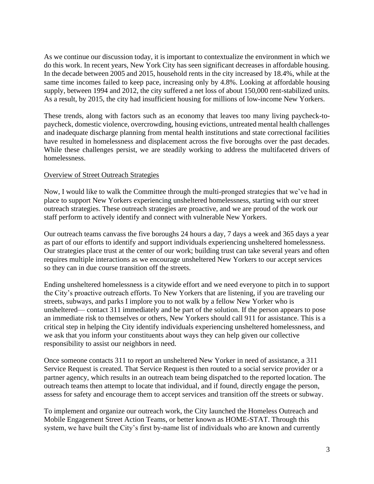As we continue our discussion today, it is important to contextualize the environment in which we do this work. In recent years, New York City has seen significant decreases in affordable housing. In the decade between 2005 and 2015, household rents in the city increased by 18.4%, while at the same time incomes failed to keep pace, increasing only by 4.8%. Looking at affordable housing supply, between 1994 and 2012, the city suffered a net loss of about 150,000 rent-stabilized units. As a result, by 2015, the city had insufficient housing for millions of low-income New Yorkers.

These trends, along with factors such as an economy that leaves too many living paycheck-topaycheck, domestic violence, overcrowding, housing evictions, untreated mental health challenges and inadequate discharge planning from mental health institutions and state correctional facilities have resulted in homelessness and displacement across the five boroughs over the past decades. While these challenges persist, we are steadily working to address the multifaceted drivers of homelessness.

#### Overview of Street Outreach Strategies

Now, I would like to walk the Committee through the multi-pronged strategies that we've had in place to support New Yorkers experiencing unsheltered homelessness, starting with our street outreach strategies. These outreach strategies are proactive, and we are proud of the work our staff perform to actively identify and connect with vulnerable New Yorkers.

Our outreach teams canvass the five boroughs 24 hours a day, 7 days a week and 365 days a year as part of our efforts to identify and support individuals experiencing unsheltered homelessness. Our strategies place trust at the center of our work; building trust can take several years and often requires multiple interactions as we encourage unsheltered New Yorkers to our accept services so they can in due course transition off the streets.

Ending unsheltered homelessness is a citywide effort and we need everyone to pitch in to support the City's proactive outreach efforts. To New Yorkers that are listening, if you are traveling our streets, subways, and parks I implore you to not walk by a fellow New Yorker who is unsheltered— contact 311 immediately and be part of the solution. If the person appears to pose an immediate risk to themselves or others, New Yorkers should call 911 for assistance. This is a critical step in helping the City identify individuals experiencing unsheltered homelessness, and we ask that you inform your constituents about ways they can help given our collective responsibility to assist our neighbors in need.

Once someone contacts 311 to report an unsheltered New Yorker in need of assistance, a 311 Service Request is created. That Service Request is then routed to a social service provider or a partner agency, which results in an outreach team being dispatched to the reported location. The outreach teams then attempt to locate that individual, and if found, directly engage the person, assess for safety and encourage them to accept services and transition off the streets or subway.

To implement and organize our outreach work, the City launched the Homeless Outreach and Mobile Engagement Street Action Teams, or better known as HOME-STAT. Through this system, we have built the City's first by-name list of individuals who are known and currently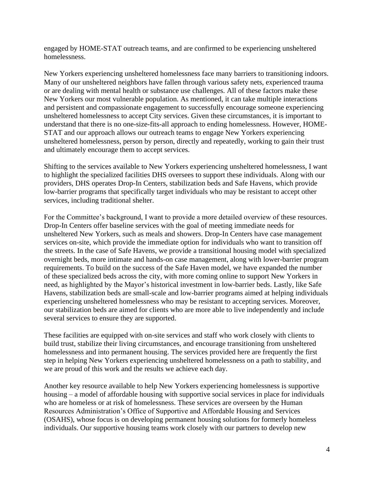engaged by HOME-STAT outreach teams, and are confirmed to be experiencing unsheltered homelessness.

New Yorkers experiencing unsheltered homelessness face many barriers to transitioning indoors. Many of our unsheltered neighbors have fallen through various safety nets, experienced trauma or are dealing with mental health or substance use challenges. All of these factors make these New Yorkers our most vulnerable population. As mentioned, it can take multiple interactions and persistent and compassionate engagement to successfully encourage someone experiencing unsheltered homelessness to accept City services. Given these circumstances, it is important to understand that there is no one-size-fits-all approach to ending homelessness. However, HOME-STAT and our approach allows our outreach teams to engage New Yorkers experiencing unsheltered homelessness, person by person, directly and repeatedly, working to gain their trust and ultimately encourage them to accept services.

Shifting to the services available to New Yorkers experiencing unsheltered homelessness, I want to highlight the specialized facilities DHS oversees to support these individuals. Along with our providers, DHS operates Drop-In Centers, stabilization beds and Safe Havens, which provide low-barrier programs that specifically target individuals who may be resistant to accept other services, including traditional shelter.

For the Committee's background, I want to provide a more detailed overview of these resources. Drop-In Centers offer baseline services with the goal of meeting immediate needs for unsheltered New Yorkers, such as meals and showers. Drop-In Centers have case management services on-site, which provide the immediate option for individuals who want to transition off the streets. In the case of Safe Havens, we provide a transitional housing model with specialized overnight beds, more intimate and hands-on case management, along with lower-barrier program requirements. To build on the success of the Safe Haven model, we have expanded the number of these specialized beds across the city, with more coming online to support New Yorkers in need, as highlighted by the Mayor's historical investment in low-barrier beds. Lastly, like Safe Havens, stabilization beds are small-scale and low-barrier programs aimed at helping individuals experiencing unsheltered homelessness who may be resistant to accepting services. Moreover, our stabilization beds are aimed for clients who are more able to live independently and include several services to ensure they are supported.

These facilities are equipped with on-site services and staff who work closely with clients to build trust, stabilize their living circumstances, and encourage transitioning from unsheltered homelessness and into permanent housing. The services provided here are frequently the first step in helping New Yorkers experiencing unsheltered homelessness on a path to stability, and we are proud of this work and the results we achieve each day.

Another key resource available to help New Yorkers experiencing homelessness is supportive housing – a model of affordable housing with supportive social services in place for individuals who are homeless or at risk of homelessness. These services are overseen by the Human Resources Administration's Office of Supportive and Affordable Housing and Services (OSAHS), whose focus is on developing permanent housing solutions for formerly homeless individuals. Our supportive housing teams work closely with our partners to develop new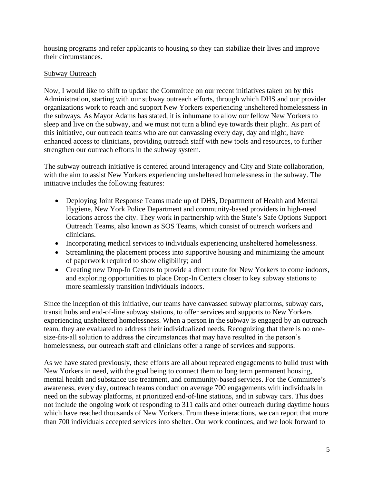housing programs and refer applicants to housing so they can stabilize their lives and improve their circumstances.

# Subway Outreach

Now, I would like to shift to update the Committee on our recent initiatives taken on by this Administration, starting with our subway outreach efforts, through which DHS and our provider organizations work to reach and support New Yorkers experiencing unsheltered homelessness in the subways. As Mayor Adams has stated, it is inhumane to allow our fellow New Yorkers to sleep and live on the subway, and we must not turn a blind eye towards their plight. As part of this initiative, our outreach teams who are out canvassing every day, day and night, have enhanced access to clinicians, providing outreach staff with new tools and resources, to further strengthen our outreach efforts in the subway system.

The subway outreach initiative is centered around interagency and City and State collaboration, with the aim to assist New Yorkers experiencing unsheltered homelessness in the subway. The initiative includes the following features:

- Deploying Joint Response Teams made up of DHS, Department of Health and Mental Hygiene, New York Police Department and community-based providers in high-need locations across the city. They work in partnership with the State's Safe Options Support Outreach Teams, also known as SOS Teams, which consist of outreach workers and clinicians.
- Incorporating medical services to individuals experiencing unsheltered homelessness.
- Streamlining the placement process into supportive housing and minimizing the amount of paperwork required to show eligibility; and
- Creating new Drop-In Centers to provide a direct route for New Yorkers to come indoors, and exploring opportunities to place Drop-In Centers closer to key subway stations to more seamlessly transition individuals indoors.

Since the inception of this initiative, our teams have canvassed subway platforms, subway cars, transit hubs and end-of-line subway stations, to offer services and supports to New Yorkers experiencing unsheltered homelessness. When a person in the subway is engaged by an outreach team, they are evaluated to address their individualized needs. Recognizing that there is no onesize-fits-all solution to address the circumstances that may have resulted in the person's homelessness, our outreach staff and clinicians offer a range of services and supports.

As we have stated previously, these efforts are all about repeated engagements to build trust with New Yorkers in need, with the goal being to connect them to long term permanent housing, mental health and substance use treatment, and community-based services. For the Committee's awareness, every day, outreach teams conduct on average 700 engagements with individuals in need on the subway platforms, at prioritized end-of-line stations, and in subway cars. This does not include the ongoing work of responding to 311 calls and other outreach during daytime hours which have reached thousands of New Yorkers. From these interactions, we can report that more than 700 individuals accepted services into shelter. Our work continues, and we look forward to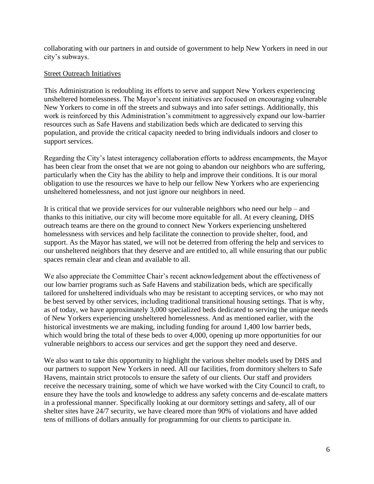collaborating with our partners in and outside of government to help New Yorkers in need in our city's subways.

### Street Outreach Initiatives

This Administration is redoubling its efforts to serve and support New Yorkers experiencing unsheltered homelessness. The Mayor's recent initiatives are focused on encouraging vulnerable New Yorkers to come in off the streets and subways and into safer settings. Additionally, this work is reinforced by this Administration's commitment to aggressively expand our low-barrier resources such as Safe Havens and stabilization beds which are dedicated to serving this population, and provide the critical capacity needed to bring individuals indoors and closer to support services.

Regarding the City's latest interagency collaboration efforts to address encampments, the Mayor has been clear from the onset that we are not going to abandon our neighbors who are suffering, particularly when the City has the ability to help and improve their conditions. It is our moral obligation to use the resources we have to help our fellow New Yorkers who are experiencing unsheltered homelessness, and not just ignore our neighbors in need.

It is critical that we provide services for our vulnerable neighbors who need our help – and thanks to this initiative, our city will become more equitable for all. At every cleaning, DHS outreach teams are there on the ground to connect New Yorkers experiencing unsheltered homelessness with services and help facilitate the connection to provide shelter, food, and support. As the Mayor has stated, we will not be deterred from offering the help and services to our unsheltered neighbors that they deserve and are entitled to, all while ensuring that our public spaces remain clear and clean and available to all.

We also appreciate the Committee Chair's recent acknowledgement about the effectiveness of our low barrier programs such as Safe Havens and stabilization beds, which are specifically tailored for unsheltered individuals who may be resistant to accepting services, or who may not be best served by other services, including traditional transitional housing settings. That is why, as of today, we have approximately 3,000 specialized beds dedicated to serving the unique needs of New Yorkers experiencing unsheltered homelessness. And as mentioned earlier, with the historical investments we are making, including funding for around 1,400 low barrier beds, which would bring the total of these beds to over 4,000, opening up more opportunities for our vulnerable neighbors to access our services and get the support they need and deserve.

We also want to take this opportunity to highlight the various shelter models used by DHS and our partners to support New Yorkers in need. All our facilities, from dormitory shelters to Safe Havens, maintain strict protocols to ensure the safety of our clients. Our staff and providers receive the necessary training, some of which we have worked with the City Council to craft, to ensure they have the tools and knowledge to address any safety concerns and de-escalate matters in a professional manner. Specifically looking at our dormitory settings and safety, all of our shelter sites have 24/7 security, we have cleared more than 90% of violations and have added tens of millions of dollars annually for programming for our clients to participate in.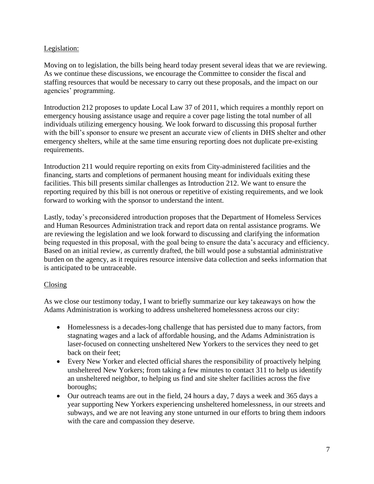# Legislation:

Moving on to legislation, the bills being heard today present several ideas that we are reviewing. As we continue these discussions, we encourage the Committee to consider the fiscal and staffing resources that would be necessary to carry out these proposals, and the impact on our agencies' programming.

Introduction 212 proposes to update Local Law 37 of 2011, which requires a monthly report on emergency housing assistance usage and require a cover page listing the total number of all individuals utilizing emergency housing. We look forward to discussing this proposal further with the bill's sponsor to ensure we present an accurate view of clients in DHS shelter and other emergency shelters, while at the same time ensuring reporting does not duplicate pre-existing requirements.

Introduction 211 would require reporting on exits from City-administered facilities and the financing, starts and completions of permanent housing meant for individuals exiting these facilities. This bill presents similar challenges as Introduction 212. We want to ensure the reporting required by this bill is not onerous or repetitive of existing requirements, and we look forward to working with the sponsor to understand the intent.

Lastly, today's preconsidered introduction proposes that the Department of Homeless Services and Human Resources Administration track and report data on rental assistance programs. We are reviewing the legislation and we look forward to discussing and clarifying the information being requested in this proposal, with the goal being to ensure the data's accuracy and efficiency. Based on an initial review, as currently drafted, the bill would pose a substantial administrative burden on the agency, as it requires resource intensive data collection and seeks information that is anticipated to be untraceable.

## Closing

As we close our testimony today, I want to briefly summarize our key takeaways on how the Adams Administration is working to address unsheltered homelessness across our city:

- Homelessness is a decades-long challenge that has persisted due to many factors, from stagnating wages and a lack of affordable housing, and the Adams Administration is laser-focused on connecting unsheltered New Yorkers to the services they need to get back on their feet;
- Every New Yorker and elected official shares the responsibility of proactively helping unsheltered New Yorkers; from taking a few minutes to contact 311 to help us identify an unsheltered neighbor, to helping us find and site shelter facilities across the five boroughs;
- Our outreach teams are out in the field, 24 hours a day, 7 days a week and 365 days a year supporting New Yorkers experiencing unsheltered homelessness, in our streets and subways, and we are not leaving any stone unturned in our efforts to bring them indoors with the care and compassion they deserve.